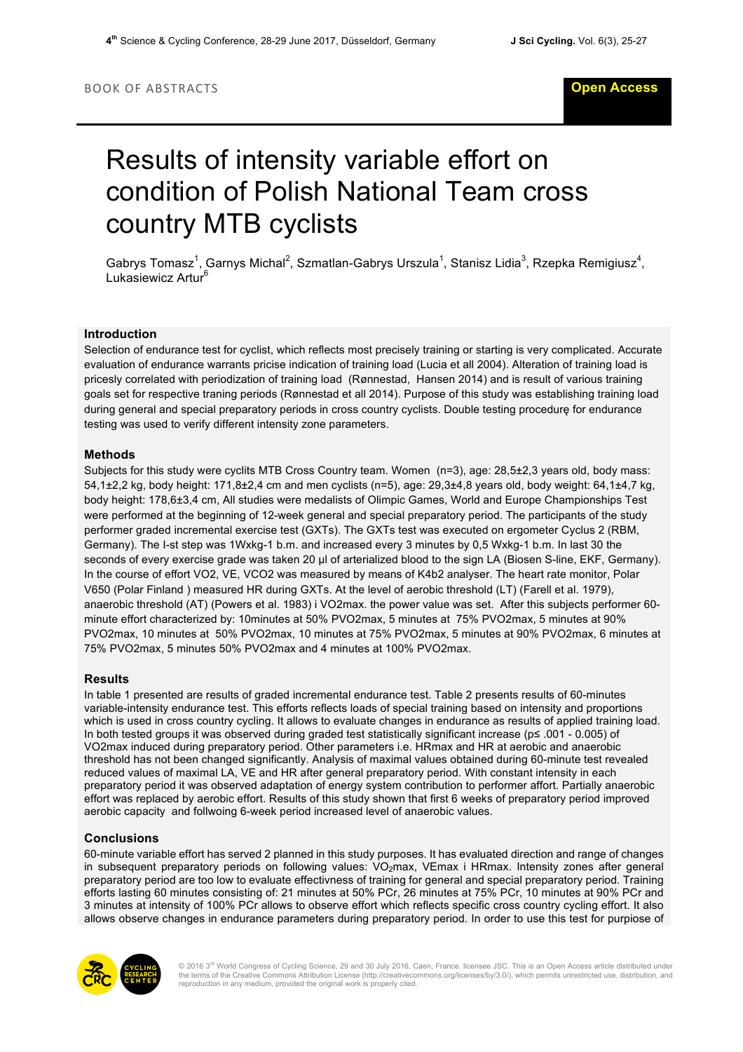# Results of intensity variable effort on condition of Polish National Team cross country MTB cyclists

Gabrys Tomasz<sup>1</sup>, Garnys Michal<sup>2</sup>, Szmatlan-Gabrys Urszula<sup>1</sup>, Stanisz Lidia<sup>3</sup>, Rzepka Remigiusz<sup>4</sup>, Lukasiewicz Artur<sup>6</sup>

## **Introduction**

Selection of endurance test for cyclist, which reflects most precisely training or starting is very complicated. Accurate evaluation of endurance warrants pricise indication of training load (Lucia et all 2004). Alteration of training load is pricesly correlated with periodization of training load (Rønnestad, Hansen 2014) and is result of various training goals set for respective traning periods (Rønnestad et all 2014). Purpose of this study was establishing training load during general and special preparatory periods in cross country cyclists. Double testing procedurę for endurance testing was used to verify different intensity zone parameters.

### **Methods**

Subjects for this study were cyclits MTB Cross Country team. Women (n=3), age: 28,5±2,3 years old, body mass: 54,1±2,2 kg, body height: 171,8±2,4 cm and men cyclists (n=5), age: 29,3±4,8 years old, body weight: 64,1±4,7 kg, body height: 178,6±3,4 cm, All studies were medalists of Olimpic Games, World and Europe Championships Test were performed at the beginning of 12-week general and special preparatory period. The participants of the study performer graded incremental exercise test (GXTs). The GXTs test was executed on ergometer Cyclus 2 (RBM, Germany). The I-st step was 1Wxkg-1 b.m. and increased every 3 minutes by 0,5 Wxkg-1 b.m. In last 30 the seconds of every exercise grade was taken 20 µl of arterialized blood to the sign LA (Biosen S-line, EKF, Germany). In the course of effort VO2, VE, VCO2 was measured by means of K4b2 analyser. The heart rate monitor, Polar V650 (Polar Finland ) measured HR during GXTs. At the level of aerobic threshold (LT) (Farell et al. 1979), anaerobic threshold (AT) (Powers et al. 1983) i VO2max. the power value was set. After this subjects performer 60 minute effort characterized by: 10minutes at 50% PVO2max, 5 minutes at 75% PVO2max, 5 minutes at 90% PVO2max, 10 minutes at 50% PVO2max, 10 minutes at 75% PVO2max, 5 minutes at 90% PVO2max, 6 minutes at 75% PVO2max, 5 minutes 50% PVO2max and 4 minutes at 100% PVO2max.

#### **Results**

In table 1 presented are results of graded incremental endurance test. Table 2 presents results of 60-minutes variable-intensity endurance test. This efforts reflects loads of special training based on intensity and proportions which is used in cross country cycling. It allows to evaluate changes in endurance as results of applied training load. In both tested groups it was observed during graded test statistically significant increase (p≤ .001 - 0.005) of VO2max induced during preparatory period. Other parameters i.e. HRmax and HR at aerobic and anaerobic threshold has not been changed significantly. Analysis of maximal values obtained during 60-minute test revealed reduced values of maximal LA, VE and HR after general preparatory period. With constant intensity in each preparatory period it was observed adaptation of energy system contribution to performer affort. Partially anaerobic effort was replaced by aerobic effort. Results of this study shown that first 6 weeks of preparatory period improved aerobic capacity and follwoing 6-week period increased level of anaerobic values.

## **Conclusions**

60-minute variable effort has served 2 planned in this study purposes. It has evaluated direction and range of changes in subsequent preparatory periods on following values: VO<sub>2</sub>max, VEmax i HRmax. Intensity zones after general preparatory period are too low to evaluate effectivness of training for general and special preparatory period. Training efforts lasting 60 minutes consisting of: 21 minutes at 50% PCr, 26 minutes at 75% PCr, 10 minutes at 90% PCr and 3 minutes at intensity of 100% PCr allows to observe effort which reflects specific cross country cycling effort. It also allows observe changes in endurance parameters during preparatory period. In order to use this test for purpiose of



© 2016 3<sup>rd</sup> World Congress of Cycling Science, 29 and 30 July 2016, Caen, France. licensee JSC. This is an Open Access article distributed under<br>the terms of the Creative Commons Attribution License (http://creativecommon reproduction in any medium, provided the original work is properly cited.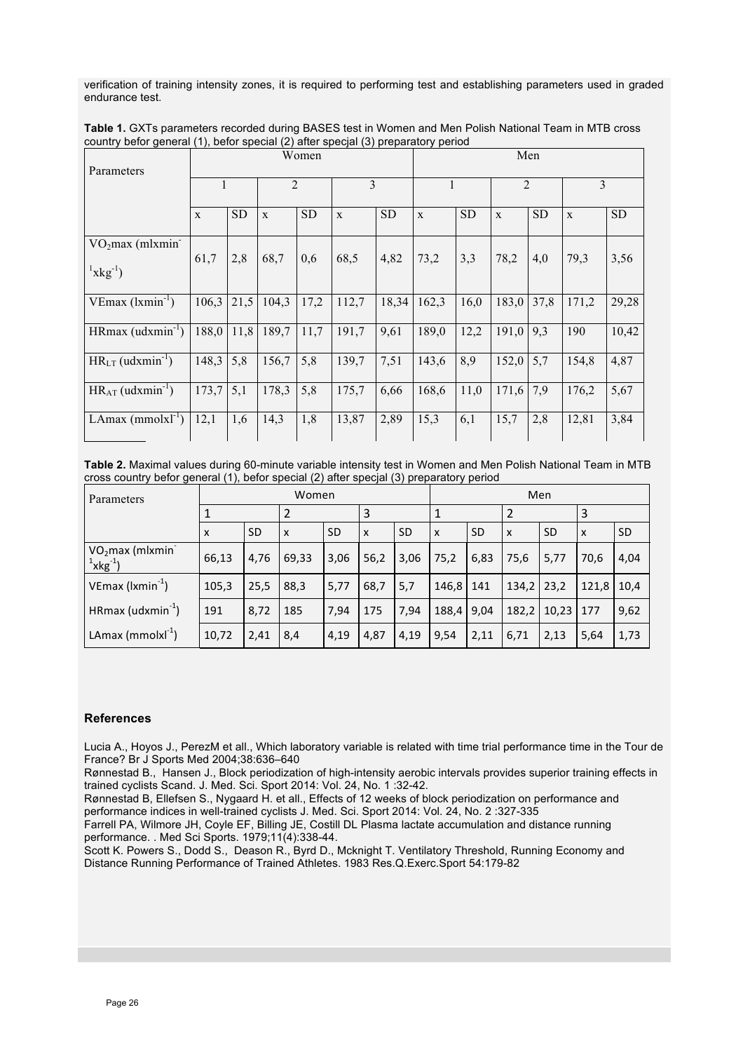verification of training intensity zones, it is required to performing test and establishing parameters used in graded endurance test.

| Parameters                                                     | Women |           |                |           |       |           | Men          |           |                |           |       |           |  |
|----------------------------------------------------------------|-------|-----------|----------------|-----------|-------|-----------|--------------|-----------|----------------|-----------|-------|-----------|--|
|                                                                |       |           | $\overline{2}$ |           | 3     |           |              |           | $\overline{2}$ |           | 3     |           |  |
|                                                                | X     | <b>SD</b> | X              | <b>SD</b> | X     | <b>SD</b> | $\mathbf{X}$ | <b>SD</b> | X              | <b>SD</b> | X     | <b>SD</b> |  |
| VO <sub>2</sub> max (mlxmin <sup>-</sup><br>${}^{1}xkg^{-1}$ ) | 61,7  | 2,8       | 68,7           | 0,6       | 68,5  | 4,82      | 73,2         | 3,3       | 78,2           | 4,0       | 79,3  | 3,56      |  |
| $VEmax (lxmin-1)$                                              | 106,3 | 21,5      | 104,3          | 17,2      | 112,7 | 18,34     | 162,3        | 16,0      | 183,0          | 37,8      | 171,2 | 29,28     |  |
| $HRmax$ (udxmin <sup>-1</sup> )                                | 188,0 | 11,8      | 189,7          | 11,7      | 191,7 | 9,61      | 189,0        | 12,2      | 191,0          | 9,3       | 190   | 10,42     |  |
| $HR_{LT}$ (udxmin <sup>-1</sup> )                              | 148,3 | 5,8       | 156,7          | 5,8       | 139,7 | 7,51      | 143,6        | 8,9       | 152,0          | 5,7       | 154,8 | 4,87      |  |
| $HR_{AT}$ (udxmin <sup>-1</sup> )                              | 173,7 | 5,1       | 178,3          | 5,8       | 175,7 | 6,66      | 168,6        | 11,0      | 171,6          | 7,9       | 176,2 | 5,67      |  |
| LAmax (mmolx $l^{-1}$ )                                        | 12,1  | 1,6       | 14,3           | 1,8       | 13,87 | 2,89      | 15,3         | 6,1       | 15,7           | 2,8       | 12,81 | 3,84      |  |

**Table 1.** GXTs parameters recorded during BASES test in Women and Men Polish National Team in MTB cross country befor general (1), befor special (2) after specjal (3) preparatory period

**Table 2.** Maximal values during 60-minute variable intensity test in Women and Men Polish National Team in MTB cross country befor general (1), befor special (2) after specjal (3) preparatory period

| Parameters                                   | Women |           |                           |           |      |           |             | Men       |                           |               |                           |           |  |
|----------------------------------------------|-------|-----------|---------------------------|-----------|------|-----------|-------------|-----------|---------------------------|---------------|---------------------------|-----------|--|
|                                              |       |           |                           |           |      |           |             |           |                           |               | 3                         |           |  |
|                                              | x     | <b>SD</b> | $\boldsymbol{\mathsf{x}}$ | <b>SD</b> | X    | <b>SD</b> | X           | <b>SD</b> | $\boldsymbol{\mathsf{x}}$ | <b>SD</b>     | $\boldsymbol{\mathsf{x}}$ | <b>SD</b> |  |
| VO <sub>2</sub> max (mlxmin<br>$1 x kg^{-1}$ | 66,13 | 4,76      | 69,33                     | 3,06      | 56,2 | 3,06      | 75,2        | 6,83      | 75,6                      | 5,77          | 70,6                      | 4,04      |  |
| $VEmax$ ( $lxmin^{-1}$ )                     | 105,3 | 25,5      | 88,3                      | 5,77      | 68,7 | 5,7       | 146,8   141 |           | 134,2                     | 23,2          | 121,8                     | 10,4      |  |
| HRmax (udxmin $^{-1}$ )                      | 191   | 8,72      | 185                       | 7,94      | 175  | 7,94      | 188,4       | 9,04      | 182,2                     | $10,23$   177 |                           | 9,62      |  |
| LAmax (mmolx $I^{-1}$ )                      | 10,72 | 2,41      | 8,4                       | 4,19      | 4,87 | 4,19      | 9,54        | 2,11      | 6,71                      | 2,13          | 5,64                      | 1,73      |  |

## **References**

Lucia A., Hoyos J., PerezM et all., Which laboratory variable is related with time trial performance time in the Tour de France? Br J Sports Med 2004;38:636–640

Rønnestad B., Hansen J., Block periodization of high-intensity aerobic intervals provides superior training effects in trained cyclists Scand. J. Med. Sci. Sport 2014: Vol. 24, No. 1 :32-42.

Rønnestad B, Ellefsen S., Nygaard H. et all., Effects of 12 weeks of block periodization on performance and performance indices in well-trained cyclists J. Med. Sci. Sport 2014: Vol. 24, No. 2 :327-335

Farrell PA, Wilmore JH, Coyle EF, Billing JE, Costill DL Plasma lactate accumulation and distance running performance. . Med Sci Sports. 1979;11(4):338-44.

Scott K. Powers S., Dodd S., Deason R., Byrd D., Mcknight T. Ventilatory Threshold, Running Economy and Distance Running Performance of Trained Athletes. 1983 Res.Q.Exerc.Sport 54:179-82